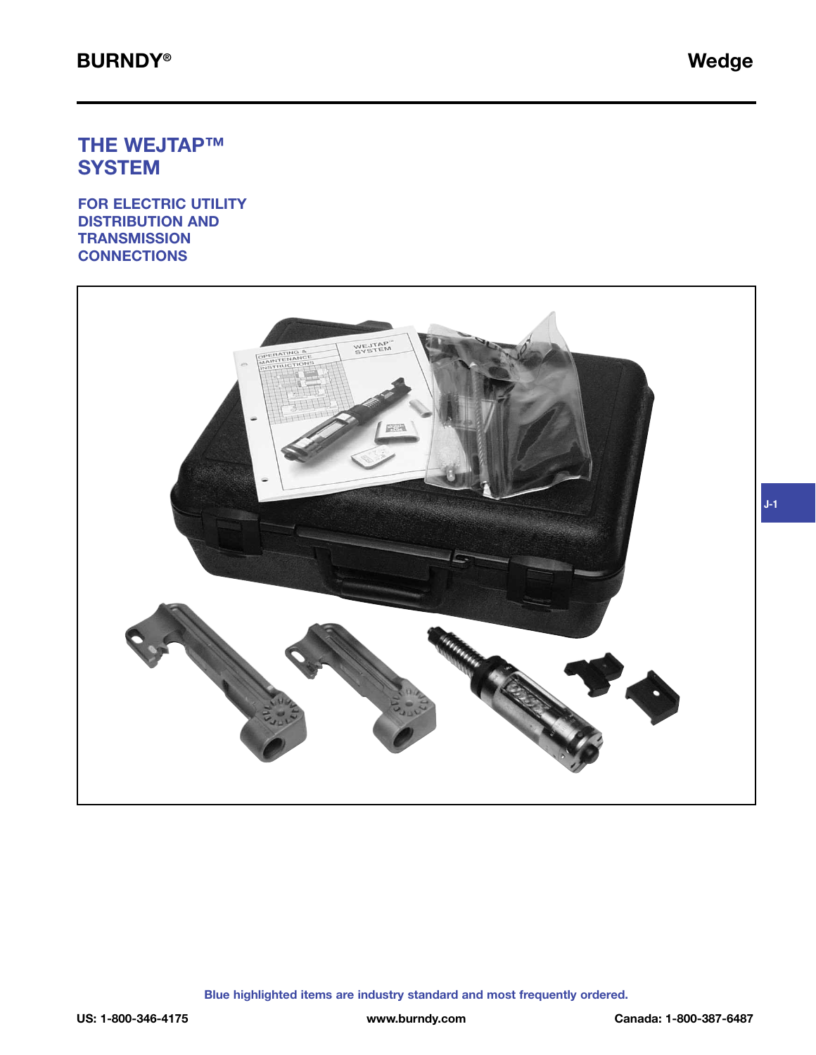# **THE WEJTAP™ SYSTEM**

**FOR ELECTRIC UTILITY DISTRIBUTION AND TRANSMISSION CONNECTIONS**

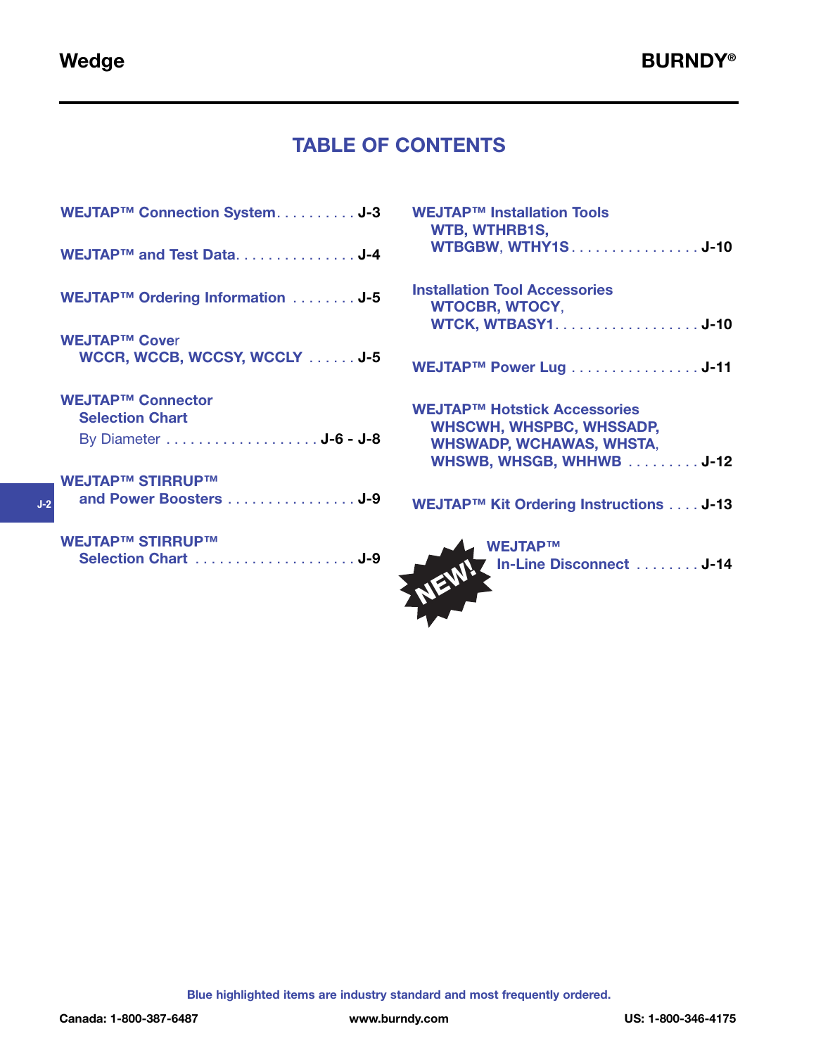**J-2**

# **TABLE OF CONTENTS**

| WEJTAP™ Connection SystemJ-3                         |
|------------------------------------------------------|
| WEJTAP™ and Test Data. J-4                           |
| WEJTAP™ Ordering Information J-5                     |
| <b>WEJTAP™ Cover</b><br>WCCR, WCCB, WCCSY, WCCLY J-5 |
| <b>WEJTAP™ Connector</b><br><b>Selection Chart</b>   |
|                                                      |
| <b>WEJTAP™ STIRRUP™</b><br>and Power Boosters J-9    |

| WEJTAP™ Installation Tools<br><b>WTB, WTHRB1S,</b><br><b>WTBGBW, WTHY1SJ-10</b>                                                       |
|---------------------------------------------------------------------------------------------------------------------------------------|
| <b>Installation Tool Accessories</b><br><b>WTOCBR, WTOCY,</b><br><b>WTCK, WTBASY1J-10</b>                                             |
| WEJTAP™ Power Lug J-11                                                                                                                |
| <b>WEJTAP™ Hotstick Accessories</b><br><b>WHSCWH, WHSPBC, WHSSADP,</b><br><b>WHSWADP, WCHAWAS, WHSTA,</b><br>WHSWB, WHSGB, WHHWB U-12 |
| WEJTAP™ Kit Ordering Instructions J-13                                                                                                |
|                                                                                                                                       |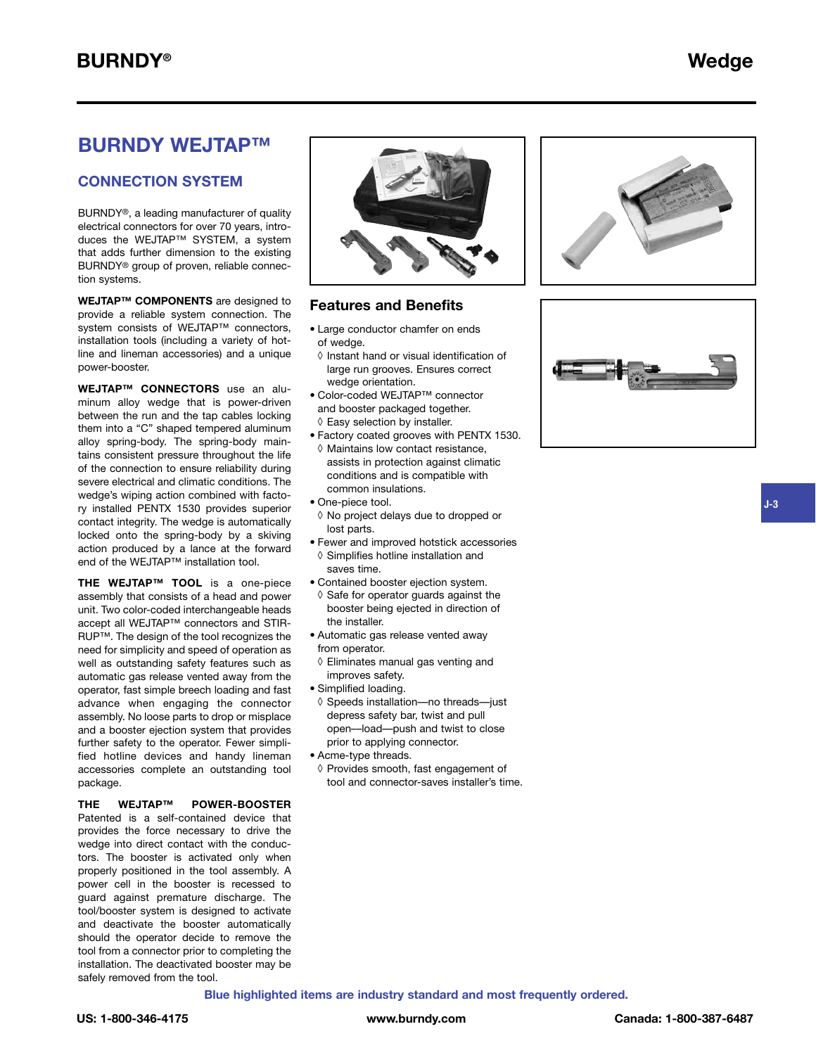### **BURNDY WEJTAP™**

#### **CONNECTION SYSTEM**

BURNDY®, a leading manufacturer of quality electrical connectors for over 70 years, introduces the WEJTAP™ SYSTEM, a system that adds further dimension to the existing BURNDY® group of proven, reliable connection systems.

**WEJTAP™ COMPONENTS** are designed to provide a reliable system connection. The system consists of WEJTAP™ connectors, installation tools (including a variety of hotline and lineman accessories) and a unique power-booster.

**WEJTAP™ CONNECTORS** use an aluminum alloy wedge that is power-driven between the run and the tap cables locking them into a "C" shaped tempered aluminum alloy spring-body. The spring-body maintains consistent pressure throughout the life of the connection to ensure reliability during severe electrical and climatic conditions. The wedge's wiping action combined with factory installed PENTX 1530 provides superior contact integrity. The wedge is automatically locked onto the spring-body by a skiving action produced by a lance at the forward end of the WEJTAP™ installation tool.

**THE WEJTAP™ TOOL** is a one-piece assembly that consists of a head and power unit. Two color-coded interchangeable heads accept all WEJTAP™ connectors and STIR-RUP™. The design of the tool recognizes the need for simplicity and speed of operation as well as outstanding safety features such as automatic gas release vented away from the operator, fast simple breech loading and fast advance when engaging the connector assembly. No loose parts to drop or misplace and a booster ejection system that provides further safety to the operator. Fewer simplified hotline devices and handy lineman accessories complete an outstanding tool package.

#### **THE WEJTAP™ POWER-BOOSTER** Patented is a self-contained device that provides the force necessary to drive the wedge into direct contact with the conductors. The booster is activated only when properly positioned in the tool assembly. A power cell in the booster is recessed to guard against premature discharge. The tool/booster system is designed to activate and deactivate the booster automatically should the operator decide to remove the tool from a connector prior to completing the installation. The deactivated booster may be safely removed from the tool.



### **Features and Benefits**

- Large conductor chamfer on ends of wedge.
- ◊ Instant hand or visual identification of large run grooves. Ensures correct wedge orientation.
- Color-coded WEJTAP™ connector and booster packaged together. ◊ Easy selection by installer.
- Factory coated grooves with PENTX 1530. ◊ Maintains low contact resistance, assists in protection against climatic conditions and is compatible with common insulations.
- One-piece tool.
- ◊ No project delays due to dropped or lost parts.
- Fewer and improved hotstick accessories ◊ Simplifies hotline installation and saves time.
- Contained booster ejection system.
- ◊ Safe for operator guards against the booster being ejected in direction of the installer.
- Automatic gas release vented away from operator.
- ◊ Eliminates manual gas venting and improves safety.
- Simplified loading.
- ◊ Speeds installation––no threads––just depress safety bar, twist and pull open––load––push and twist to close prior to applying connector.
- Acme-type threads.
- ◊ Provides smooth, fast engagement of tool and connector-saves installer's time.





**J-3**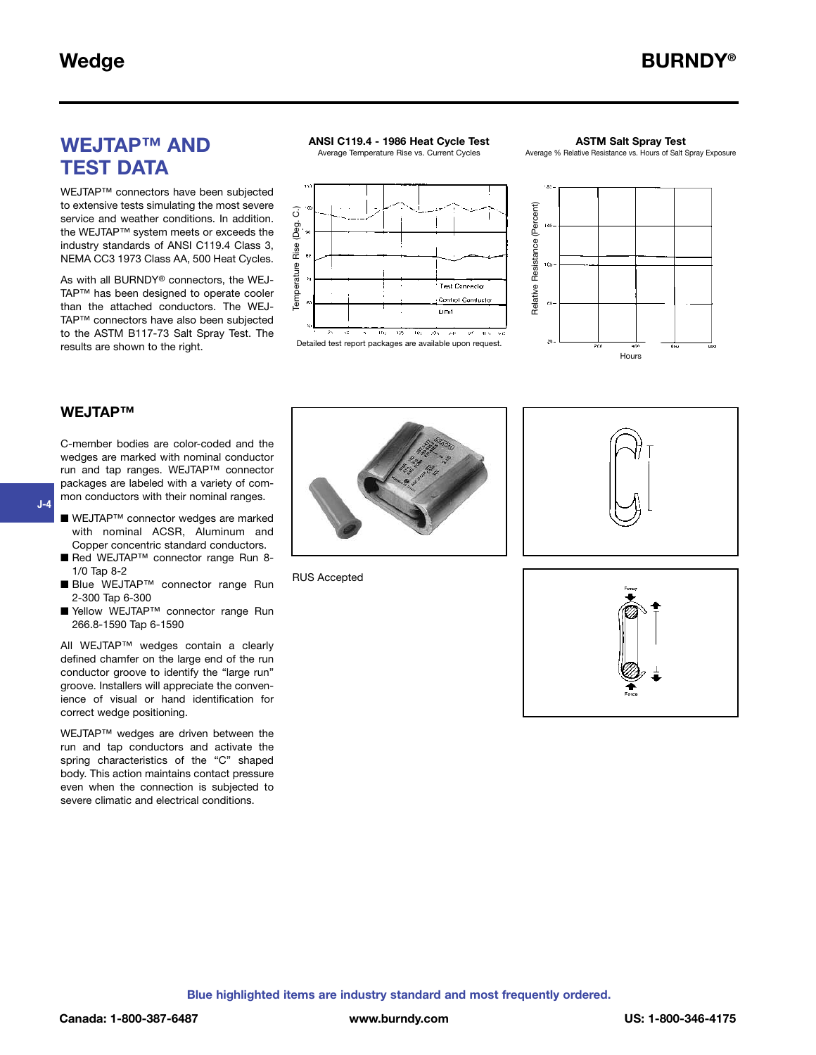# **WEJTAP™ AND TEST DATA**

WEJTAP™ connectors have been subjected to extensive tests simulating the most severe service and weather conditions. In addition. the WEJTAP™ system meets or exceeds the industry standards of ANSI C119.4 Class 3, NEMA CC3 1973 Class AA, 500 Heat Cycles.

As with all BURNDY® connectors, the WEJ-TAP™ has been designed to operate cooler than the attached conductors. The WEJ-TAP™ connectors have also been subjected to the ASTM B117-73 Salt Spray Test. The results are shown to the right.

### **ANSI C119.4 - 1986 Heat Cycle Test**

Average Temperature Rise vs. Current Cycles

#### **ASTM Salt Spray Test**

Average % Relative Resistance vs. Hours of Salt Spray Exposure





#### **WEJTAP™**

**J-4**

C-member bodies are color-coded and the wedges are marked with nominal conductor run and tap ranges. WEJTAP™ connector packages are labeled with a variety of common conductors with their nominal ranges.

- WEJTAP<sup>™</sup> connector wedges are marked with nominal ACSR, Aluminum and Copper concentric standard conductors.
- Red WEJTAP<sup>™</sup> connector range Run 8-1/0 Tap 8-2
- Blue WEJTAP™ connector range Run 2-300 Tap 6-300
- Yellow WEJTAP<sup>™</sup> connector range Run 266.8-1590 Tap 6-1590

All WEJTAP™ wedges contain a clearly defined chamfer on the large end of the run conductor groove to identify the "large run" groove. Installers will appreciate the convenience of visual or hand identification for correct wedge positioning.

WEJTAP™ wedges are driven between the run and tap conductors and activate the spring characteristics of the "C" shaped body. This action maintains contact pressure even when the connection is subjected to severe climatic and electrical conditions.



RUS Accepted

Temperature Rise (Deg. C.)

Temperature



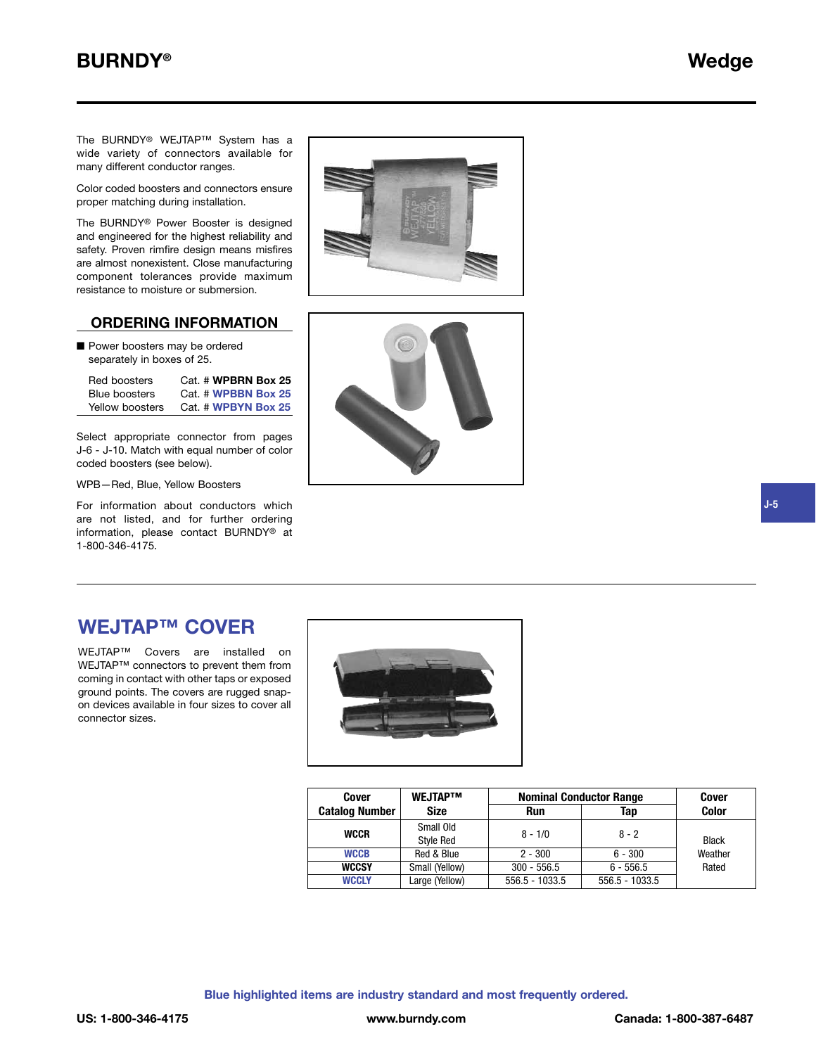# **BURNDY® Wedge**

The BURNDY® WEJTAP™ System has a wide variety of connectors available for many different conductor ranges.

Color coded boosters and connectors ensure proper matching during installation.

The BURNDY® Power Booster is designed and engineered for the highest reliability and safety. Proven rimfire design means misfires are almost nonexistent. Close manufacturing component tolerances provide maximum resistance to moisture or submersion.

### **ORDERING INFORMATION**

■ Power boosters may be ordered separately in boxes of 25.

| Red boosters    | Cat. # WPBRN Box 25 |
|-----------------|---------------------|
| Blue boosters   | Cat. # WPBBN Box 25 |
| Yellow boosters | Cat. # WPBYN Box 25 |

Select appropriate connector from pages J-6 - J-10. Match with equal number of color coded boosters (see below).

WPB—Red, Blue, Yellow Boosters

For information about conductors which are not listed, and for further ordering information, please contact BURNDY® at 1-800-346-4175.





### **WEJTAP™ COVER**

WEJTAP™ Covers are installed on WEJTAP™ connectors to prevent them from coming in contact with other taps or exposed ground points. The covers are rugged snapon devices available in four sizes to cover all connector sizes.



| Cover                 | <b>WEJTAPTM</b>               | <b>Nominal Conductor Range</b> | <b>Cover</b>     |              |
|-----------------------|-------------------------------|--------------------------------|------------------|--------------|
| <b>Catalog Number</b> | Size                          | <b>Run</b>                     | Tap              | <b>Color</b> |
| <b>WCCR</b>           | Small Old<br><b>Style Red</b> | $8 - 1/0$                      | $8 - 2$          | <b>Black</b> |
| <b>WCCB</b>           | Red & Blue                    | $2 - 300$                      | $6 - 300$        | Weather      |
| <b>WCCSY</b>          | Small (Yellow)                | $300 - 556.5$                  | $6 - 556.5$      | Rated        |
| <b>WCCLY</b>          | Large (Yellow)                | $556.5 - 1033.5$               | $556.5 - 1033.5$ |              |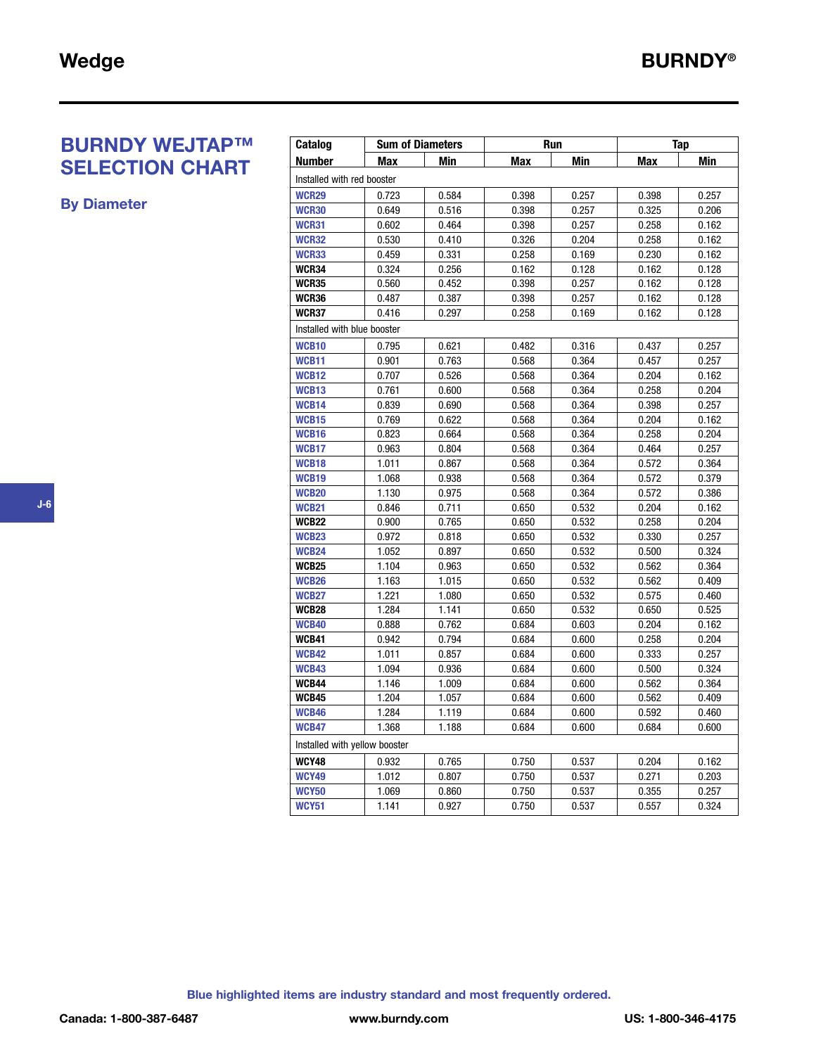# **BURNDY WEJTAP™ SELECTION CHART**

**By Diameter**

| Catalog                       | <b>Sum of Diameters</b> |       | <b>Run</b> |       | Tap        |            |
|-------------------------------|-------------------------|-------|------------|-------|------------|------------|
| <b>Number</b>                 | <b>Max</b>              | Min   | <b>Max</b> | Min   | <b>Max</b> | <b>Min</b> |
| Installed with red booster    |                         |       |            |       |            |            |
| <b>WCR29</b>                  | 0.723                   | 0.584 | 0.398      | 0.257 | 0.398      | 0.257      |
| <b>WCR30</b>                  | 0.649                   | 0.516 | 0.398      | 0.257 | 0.325      | 0.206      |
| <b>WCR31</b>                  | 0.602                   | 0.464 | 0.398      | 0.257 | 0.258      | 0.162      |
| <b>WCR32</b>                  | 0.530                   | 0.410 | 0.326      | 0.204 | 0.258      | 0.162      |
| WCR33                         | 0.459                   | 0.331 | 0.258      | 0.169 | 0.230      | 0.162      |
| WCR34                         | 0.324                   | 0.256 | 0.162      | 0.128 | 0.162      | 0.128      |
| WCR35                         | 0.560                   | 0.452 | 0.398      | 0.257 | 0.162      | 0.128      |
| WCR36                         | 0.487                   | 0.387 | 0.398      | 0.257 | 0.162      | 0.128      |
| WCR37                         | 0.416                   | 0.297 | 0.258      | 0.169 | 0.162      | 0.128      |
| Installed with blue booster   |                         |       |            |       |            |            |
| <b>WCB10</b>                  | 0.795                   | 0.621 | 0.482      | 0.316 | 0.437      | 0.257      |
| <b>WCB11</b>                  | 0.901                   | 0.763 | 0.568      | 0.364 | 0.457      | 0.257      |
| <b>WCB12</b>                  | 0.707                   | 0.526 | 0.568      | 0.364 | 0.204      | 0.162      |
| <b>WCB13</b>                  | 0.761                   | 0.600 | 0.568      | 0.364 | 0.258      | 0.204      |
| <b>WCB14</b>                  | 0.839                   | 0.690 | 0.568      | 0.364 | 0.398      | 0.257      |
| <b>WCB15</b>                  | 0.769                   | 0.622 | 0.568      | 0.364 | 0.204      | 0.162      |
| <b>WCB16</b>                  | 0.823                   | 0.664 | 0.568      | 0.364 | 0.258      | 0.204      |
| <b>WCB17</b>                  | 0.963                   | 0.804 | 0.568      | 0.364 | 0.464      | 0.257      |
| <b>WCB18</b>                  | 1.011                   | 0.867 | 0.568      | 0.364 | 0.572      | 0.364      |
| <b>WCB19</b>                  | 1.068                   | 0.938 | 0.568      | 0.364 | 0.572      | 0.379      |
| <b>WCB20</b>                  | 1.130                   | 0.975 | 0.568      | 0.364 | 0.572      | 0.386      |
| <b>WCB21</b>                  | 0.846                   | 0.711 | 0.650      | 0.532 | 0.204      | 0.162      |
| WCB22                         | 0.900                   | 0.765 | 0.650      | 0.532 | 0.258      | 0.204      |
| <b>WCB23</b>                  | 0.972                   | 0.818 | 0.650      | 0.532 | 0.330      | 0.257      |
| <b>WCB24</b>                  | 1.052                   | 0.897 | 0.650      | 0.532 | 0.500      | 0.324      |
| WCB25                         | 1.104                   | 0.963 | 0.650      | 0.532 | 0.562      | 0.364      |
| <b>WCB26</b>                  | 1.163                   | 1.015 | 0.650      | 0.532 | 0.562      | 0.409      |
| <b>WCB27</b>                  | 1.221                   | 1.080 | 0.650      | 0.532 | 0.575      | 0.460      |
| WCB28                         | 1.284                   | 1.141 | 0.650      | 0.532 | 0.650      | 0.525      |
| <b>WCB40</b>                  | 0.888                   | 0.762 | 0.684      | 0.603 | 0.204      | 0.162      |
| WCB41                         | 0.942                   | 0.794 | 0.684      | 0.600 | 0.258      | 0.204      |
| <b>WCB42</b>                  | 1.011                   | 0.857 | 0.684      | 0.600 | 0.333      | 0.257      |
| <b>WCB43</b>                  | 1.094                   | 0.936 | 0.684      | 0.600 | 0.500      | 0.324      |
| WCB44                         | 1.146                   | 1.009 | 0.684      | 0.600 | 0.562      | 0.364      |
| WCB45                         | 1.204                   | 1.057 | 0.684      | 0.600 | 0.562      | 0.409      |
| <b>WCB46</b>                  | 1.284                   | 1.119 | 0.684      | 0.600 | 0.592      | 0.460      |
| <b>WCB47</b>                  | 1.368                   | 1.188 | 0.684      | 0.600 | 0.684      | 0.600      |
| Installed with yellow booster |                         |       |            |       |            |            |
| <b>WCY48</b>                  | 0.932                   | 0.765 | 0.750      | 0.537 | 0.204      | 0.162      |
| <b>WCY49</b>                  | 1.012                   | 0.807 | 0.750      | 0.537 | 0.271      | 0.203      |
| <b>WCY50</b>                  | 1.069                   | 0.860 | 0.750      | 0.537 | 0.355      | 0.257      |
| <b>WCY51</b>                  | 1.141                   | 0.927 | 0.750      | 0.537 | 0.557      | 0.324      |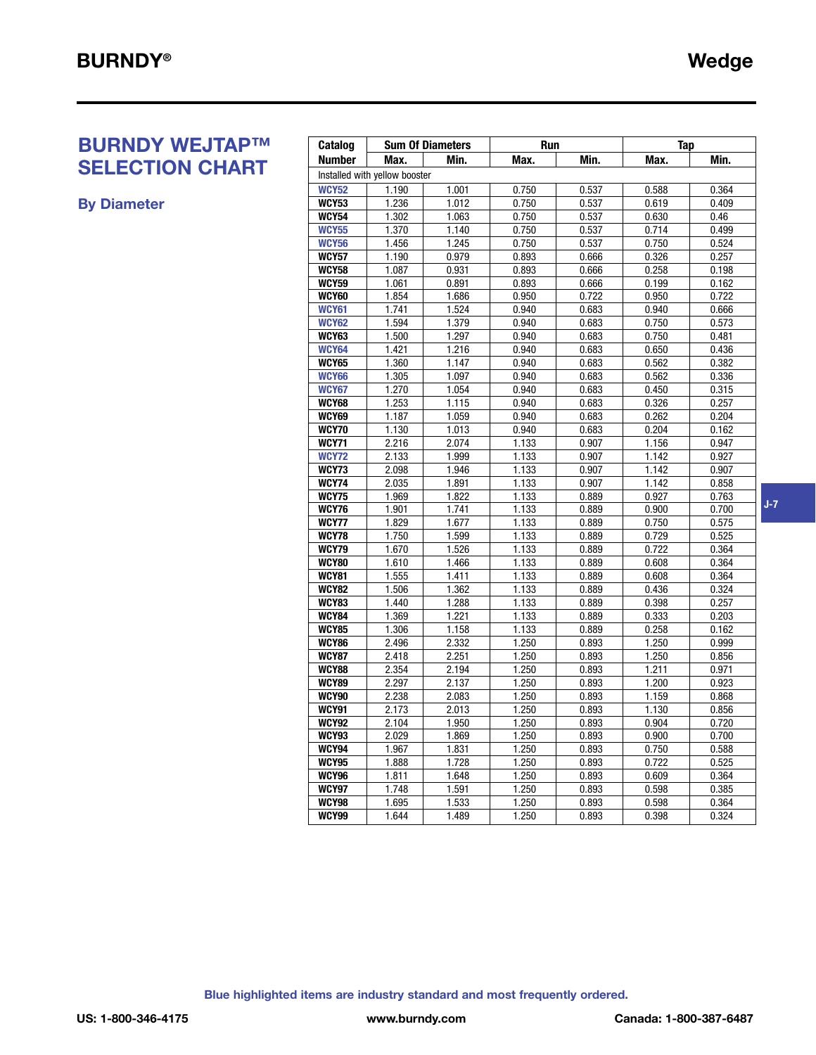# **BURNDY WEJTAP™ SELECTION CHART**

**By Diameter**

| Catalog               |                               | <b>Sum Of Diameters</b> | Run            |       | Tap            |       |  |
|-----------------------|-------------------------------|-------------------------|----------------|-------|----------------|-------|--|
| <b>Number</b>         | Max.                          | Min.                    | Max.           | Min.  | Max.           | Min.  |  |
|                       | Installed with yellow booster |                         |                |       |                |       |  |
| <b>WCY52</b>          | $\overline{1.190}$            | 1.001                   | 0.750          | 0.537 | 0.588          | 0.364 |  |
| <b>WCY53</b>          | 1.236                         | 1.012                   | 0.750          | 0.537 | 0.619          | 0.409 |  |
| <b>WCY54</b>          | 1.302                         | 1.063                   | 0.750          | 0.537 | 0.630          | 0.46  |  |
| <b>WCY55</b>          | 1.370                         | 1.140                   | 0.750          | 0.537 | 0.714          | 0.499 |  |
| <b>WCY56</b>          | 1.456                         | 1.245                   | 0.750          | 0.537 | 0.750          | 0.524 |  |
| WCY57                 | 1.190                         | 0.979                   | 0.893          | 0.666 | 0.326          | 0.257 |  |
| <b>WCY58</b>          | 1.087                         | 0.931                   | 0.893          | 0.666 | 0.258          | 0.198 |  |
| <b>WCY59</b>          | 1.061                         | 0.891                   | 0.893          | 0.666 | 0.199          | 0.162 |  |
| <b>WCY60</b>          | 1.854                         | 1.686                   | 0.950          | 0.722 | 0.950          | 0.722 |  |
| WCY61                 | 1.741                         | 1.524                   | 0.940          | 0.683 | 0.940          | 0.666 |  |
| <b>WCY62</b>          | 1.594                         | 1.379                   | 0.940          | 0.683 | 0.750          | 0.573 |  |
| <b>WCY63</b>          | 1.500                         | 1.297                   | 0.940          | 0.683 | 0.750          | 0.481 |  |
| <b>WCY64</b>          | 1.421                         | 1.216                   | 0.940          | 0.683 | 0.650          | 0.436 |  |
| <b>WCY65</b>          | 1.360                         | 1.147                   | 0.940          | 0.683 | 0.562          | 0.382 |  |
| <b>WCY66</b>          | 1.305                         | 1.097                   | 0.940          | 0.683 | 0.562          | 0.336 |  |
| <b>WCY67</b>          | 1.270                         | 1.054                   | 0.940          | 0.683 | 0.450          | 0.315 |  |
| <b>WCY68</b>          | 1.253                         | 1.115                   | 0.940          | 0.683 | 0.326          | 0.257 |  |
| <b>WCY69</b>          | 1.187                         | 1.059                   | 0.940          | 0.683 | 0.262          | 0.204 |  |
| <b>WCY70</b>          | 1.130                         | 1.013                   | 0.940          | 0.683 | 0.204          | 0.162 |  |
| WCY71                 | 2.216                         | 2.074                   | 1.133          | 0.907 | 1.156          | 0.947 |  |
| <b>WCY72</b>          | 2.133                         | 1.999                   | 1.133          | 0.907 | 1.142          | 0.927 |  |
| <b>WCY73</b>          | 2.098                         | 1.946                   | 1.133          | 0.907 | 1.142          | 0.907 |  |
| <b>WCY74</b>          | 2.035                         | 1.891                   | 1.133          | 0.907 | 1.142          | 0.858 |  |
| <b>WCY75</b>          | 1.969                         | 1.822                   | 1.133          | 0.889 | 0.927          | 0.763 |  |
| <b>WCY76</b>          | 1.901                         | 1.741                   | 1.133          | 0.889 | 0.900          | 0.700 |  |
| <b>WCY77</b>          | 1.829                         | 1.677                   | 1.133          | 0.889 | 0.750          | 0.575 |  |
| <b>WCY78</b>          | 1.750                         | 1.599                   | 1.133          | 0.889 | 0.729          | 0.525 |  |
| <b>WCY79</b>          | 1.670                         | 1.526                   | 1.133          | 0.889 | 0.722          | 0.364 |  |
| <b>WCY80</b>          | 1.610                         | 1.466                   | 1.133          | 0.889 | 0.608          | 0.364 |  |
| <b>WCY81</b>          | 1.555                         | 1.411                   | 1.133          | 0.889 | 0.608          | 0.364 |  |
| <b>WCY82</b>          | 1.506                         | 1.362                   | 1.133          | 0.889 | 0.436          | 0.324 |  |
| <b>WCY83</b>          | 1.440                         | 1.288                   | 1.133          | 0.889 | 0.398          | 0.257 |  |
| <b>WCY84</b>          | 1.369                         | 1.221                   | 1.133          | 0.889 | 0.333          | 0.203 |  |
| <b>WCY85</b>          | 1.306                         | 1.158                   | 1.133          | 0.889 | 0.258          | 0.162 |  |
| <b>WCY86</b>          | 2.496                         | 2.332                   | 1.250          | 0.893 | 1.250          | 0.999 |  |
| <b>WCY87</b>          | 2.418                         | 2.251                   | 1.250          | 0.893 | 1.250          | 0.856 |  |
| <b>WCY88</b>          | 2.354                         | 2.194                   | 1.250          | 0.893 | 1.211          | 0.971 |  |
| <b>WCY89</b>          | 2.297                         | 2.137                   | 1.250          | 0.893 | 1.200          | 0.923 |  |
| <b>WCY90</b>          | 2.238                         | 2.083                   | 1.250          | 0.893 | 1.159          | 0.868 |  |
| <b>WCY91</b>          | 2.173                         | 2.013                   | 1.250          | 0.893 | 1.130          | 0.856 |  |
| <b>WCY92</b>          | 2.104                         | 1.950                   | 1.250          | 0.893 | 0.904          | 0.720 |  |
| <b>WCY93</b>          | 2.029                         | 1.869                   | 1.250          | 0.893 | 0.900          | 0.700 |  |
| WCY94                 | 1.967                         | 1.831                   | 1.250          | 0.893 | 0.750          | 0.588 |  |
| <b>WCY95</b>          | 1.888                         | 1.728                   | 1.250          | 0.893 | 0.722          | 0.525 |  |
| <b>WCY96</b><br>WCY97 | 1.811                         | 1.648                   | 1.250          | 0.893 | 0.609          | 0.364 |  |
| <b>WCY98</b>          | 1.748                         | 1.591                   | 1.250<br>1.250 | 0.893 | 0.598<br>0.598 | 0.385 |  |
|                       | 1.695                         | 1.533                   |                | 0.893 |                | 0.364 |  |
| <b>WCY99</b>          | 1.644                         | 1.489                   | 1.250          | 0.893 | 0.398          | 0.324 |  |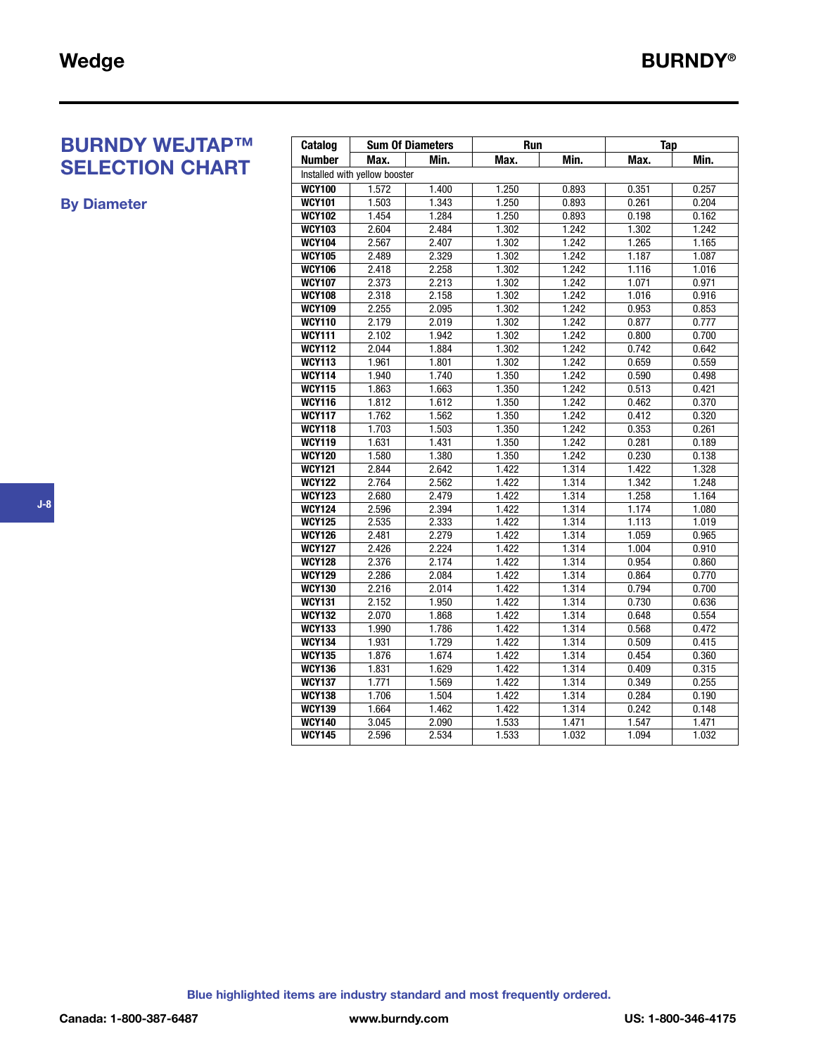# **BURNDY WEJTAP™ SELECTION CHART**

**By Diameter**

| Catalog       |                               | <b>Sum Of Diameters</b> | <b>Run</b> |       | <b>Tap</b> |       |
|---------------|-------------------------------|-------------------------|------------|-------|------------|-------|
| <b>Number</b> | Max.                          | Min.                    | Max.       | Min.  | Max.       | Min.  |
|               | Installed with yellow booster |                         |            |       |            |       |
| <b>WCY100</b> | 1.572                         | 1.400                   | 1.250      | 0.893 | 0.351      | 0.257 |
| <b>WCY101</b> | 1.503                         | 1.343                   | 1.250      | 0.893 | 0.261      | 0.204 |
| <b>WCY102</b> | 1.454                         | 1.284                   | 1.250      | 0.893 | 0.198      | 0.162 |
| <b>WCY103</b> | 2.604                         | 2.484                   | 1.302      | 1.242 | 1.302      | 1.242 |
| <b>WCY104</b> | 2.567                         | 2.407                   | 1.302      | 1.242 | 1.265      | 1.165 |
| <b>WCY105</b> | 2.489                         | 2.329                   | 1.302      | 1.242 | 1.187      | 1.087 |
| <b>WCY106</b> | 2.418                         | 2.258                   | 1.302      | 1.242 | 1.116      | 1.016 |
| <b>WCY107</b> | 2.373                         | 2.213                   | 1.302      | 1.242 | 1.071      | 0.971 |
| <b>WCY108</b> | 2.318                         | 2.158                   | 1.302      | 1.242 | 1.016      | 0.916 |
| <b>WCY109</b> | 2.255                         | 2.095                   | 1.302      | 1.242 | 0.953      | 0.853 |
| <b>WCY110</b> | 2.179                         | 2.019                   | 1.302      | 1.242 | 0.877      | 0.777 |
| <b>WCY111</b> | 2.102                         | 1.942                   | 1.302      | 1.242 | 0.800      | 0.700 |
| <b>WCY112</b> | 2.044                         | 1.884                   | 1.302      | 1.242 | 0.742      | 0.642 |
| <b>WCY113</b> | 1.961                         | 1.801                   | 1.302      | 1.242 | 0.659      | 0.559 |
| <b>WCY114</b> | 1.940                         | 1.740                   | 1.350      | 1.242 | 0.590      | 0.498 |
| <b>WCY115</b> | 1.863                         | 1.663                   | 1.350      | 1.242 | 0.513      | 0.421 |
| <b>WCY116</b> | 1.812                         | 1.612                   | 1.350      | 1.242 | 0.462      | 0.370 |
| <b>WCY117</b> | 1.762                         | 1.562                   | 1.350      | 1.242 | 0.412      | 0.320 |
| <b>WCY118</b> | 1.703                         | 1.503                   | 1.350      | 1.242 | 0.353      | 0.261 |
| <b>WCY119</b> | 1.631                         | 1.431                   | 1.350      | 1.242 | 0.281      | 0.189 |
| <b>WCY120</b> | 1.580                         | 1.380                   | 1.350      | 1.242 | 0.230      | 0.138 |
| <b>WCY121</b> | 2.844                         | 2.642                   | 1.422      | 1.314 | 1.422      | 1.328 |
| <b>WCY122</b> | 2.764                         | 2.562                   | 1.422      | 1.314 | 1.342      | 1.248 |
| <b>WCY123</b> | 2.680                         | 2.479                   | 1.422      | 1.314 | 1.258      | 1.164 |
| <b>WCY124</b> | 2.596                         | 2.394                   | 1.422      | 1.314 | 1.174      | 1.080 |
| <b>WCY125</b> | 2.535                         | 2.333                   | 1.422      | 1.314 | 1.113      | 1.019 |
| <b>WCY126</b> | 2.481                         | 2.279                   | 1.422      | 1.314 | 1.059      | 0.965 |
| <b>WCY127</b> | 2.426                         | 2.224                   | 1.422      | 1.314 | 1.004      | 0.910 |
| <b>WCY128</b> | 2.376                         | 2.174                   | 1.422      | 1.314 | 0.954      | 0.860 |
| <b>WCY129</b> | 2.286                         | 2.084                   | 1.422      | 1.314 | 0.864      | 0.770 |
| <b>WCY130</b> | 2.216                         | 2.014                   | 1.422      | 1.314 | 0.794      | 0.700 |
| <b>WCY131</b> | 2.152                         | 1.950                   | 1.422      | 1.314 | 0.730      | 0.636 |
| <b>WCY132</b> | 2.070                         | 1.868                   | 1.422      | 1.314 | 0.648      | 0.554 |
| <b>WCY133</b> | 1.990                         | 1.786                   | 1.422      | 1.314 | 0.568      | 0.472 |
| <b>WCY134</b> | 1.931                         | 1.729                   | 1.422      | 1.314 | 0.509      | 0.415 |
| <b>WCY135</b> | 1.876                         | 1.674                   | 1.422      | 1.314 | 0.454      | 0.360 |
| <b>WCY136</b> | 1.831                         | 1.629                   | 1.422      | 1.314 | 0.409      | 0.315 |
| <b>WCY137</b> | 1.771                         | 1.569                   | 1.422      | 1.314 | 0.349      | 0.255 |
| <b>WCY138</b> | 1.706                         | 1.504                   | 1.422      | 1.314 | 0.284      | 0.190 |
| <b>WCY139</b> | 1.664                         | 1.462                   | 1.422      | 1.314 | 0.242      | 0.148 |
| <b>WCY140</b> | 3.045                         | 2.090                   | 1.533      | 1.471 | 1.547      | 1.471 |
| <b>WCY145</b> | 2.596                         | 2.534                   | 1.533      | 1.032 | 1.094      | 1.032 |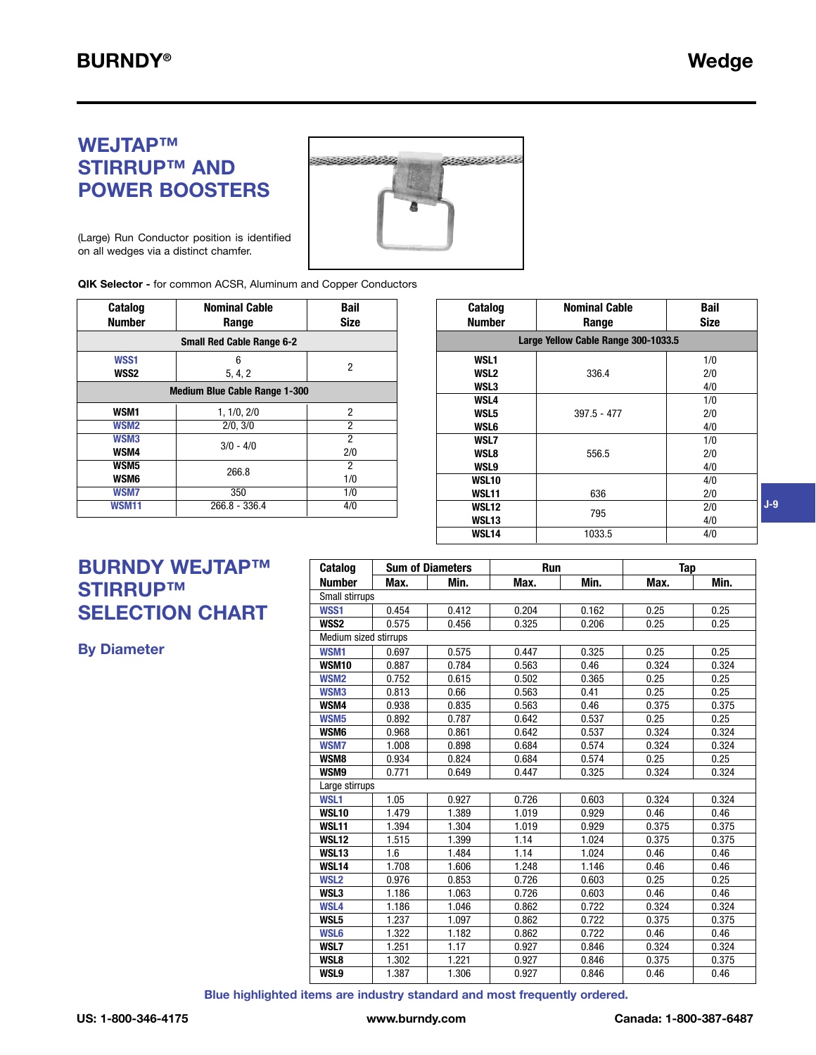# **WEJTAP™ STIRRUP™ AND POWER BOOSTERS**



(Large) Run Conductor position is identified on all wedges via a distinct chamfer.

**QIK Selector -** for common ACSR, Aluminum and Copper Conductors

| <b>Catalog</b><br><b>Number</b> | <b>Nominal Cable</b><br>Range        | <b>Bail</b><br><b>Size</b> |  |  |  |  |
|---------------------------------|--------------------------------------|----------------------------|--|--|--|--|
|                                 | <b>Small Red Cable Range 6-2</b>     |                            |  |  |  |  |
| WSS1<br>WSS2                    | 6<br>5, 4, 2                         | 2                          |  |  |  |  |
|                                 | <b>Medium Blue Cable Range 1-300</b> |                            |  |  |  |  |
| WSM1                            | 1, 1/0, 2/0                          | 2                          |  |  |  |  |
| WSM <sub>2</sub>                | 2/0, 3/0                             | 2                          |  |  |  |  |
| WSM3<br>WSM4                    | $3/0 - 4/0$                          | $\overline{2}$<br>2/0      |  |  |  |  |
| WSM5<br>WSM6                    | 266.8                                | 2<br>1/0                   |  |  |  |  |
| <b>WSM7</b>                     | 350                                  | 1/0                        |  |  |  |  |
| WSM11                           | $266.8 - 336.4$                      | 4/0                        |  |  |  |  |

| <b>Catalog</b><br>Number | <b>Nominal Cable</b><br>Range       | Bail<br><b>Size</b> |  |  |  |  |  |
|--------------------------|-------------------------------------|---------------------|--|--|--|--|--|
|                          | Large Yellow Cable Range 300-1033.5 |                     |  |  |  |  |  |
| WSL <sub>1</sub>         |                                     | 1/0                 |  |  |  |  |  |
| <b>WSL2</b>              | 336.4                               | 2/0                 |  |  |  |  |  |
| <b>WSL3</b>              |                                     | 4/0                 |  |  |  |  |  |
| <b>WSL4</b>              |                                     | 1/0                 |  |  |  |  |  |
| <b>WSL5</b>              | $397.5 - 477$                       | 2/0                 |  |  |  |  |  |
| <b>WSL6</b>              |                                     | 4/0                 |  |  |  |  |  |
| <b>WSL7</b>              |                                     | 1/0                 |  |  |  |  |  |
| <b>WSL8</b>              | 556.5                               | 2/0                 |  |  |  |  |  |
| <b>WSL9</b>              |                                     | 4/0                 |  |  |  |  |  |
| <b>WSL10</b>             |                                     | 4/0                 |  |  |  |  |  |
| WSL11                    | 636                                 | 2/0                 |  |  |  |  |  |
| WSL12                    | 795                                 | 2/0                 |  |  |  |  |  |
| WSL13                    |                                     | 4/0                 |  |  |  |  |  |
| <b>WSL14</b>             | 1033.5                              | 4/0                 |  |  |  |  |  |

# **BURNDY WEJTAP™ STIRRUP™ SELECTION CHART**

**By Diameter**

| Catalog               |       | <b>Sum of Diameters</b> | <b>Run</b> |       | Tap   |       |
|-----------------------|-------|-------------------------|------------|-------|-------|-------|
| <b>Number</b>         | Max.  | Min.                    | Max.       | Min.  | Max.  | Min.  |
| Small stirrups        |       |                         |            |       |       |       |
| WSS1                  | 0.454 | 0.412                   | 0.204      | 0.162 | 0.25  | 0.25  |
| WSS2                  | 0.575 | 0.456                   | 0.325      | 0.206 | 0.25  | 0.25  |
| Medium sized stirrups |       |                         |            |       |       |       |
| WSM1                  | 0.697 | 0.575                   | 0.447      | 0.325 | 0.25  | 0.25  |
| <b>WSM10</b>          | 0.887 | 0.784                   | 0.563      | 0.46  | 0.324 | 0.324 |
| WSM <sub>2</sub>      | 0.752 | 0.615                   | 0.502      | 0.365 | 0.25  | 0.25  |
| WSM3                  | 0.813 | 0.66                    | 0.563      | 0.41  | 0.25  | 0.25  |
| WSM4                  | 0.938 | 0.835                   | 0.563      | 0.46  | 0.375 | 0.375 |
| WSM <sub>5</sub>      | 0.892 | 0.787                   | 0.642      | 0.537 | 0.25  | 0.25  |
| WSM6                  | 0.968 | 0.861                   | 0.642      | 0.537 | 0.324 | 0.324 |
| <b>WSM7</b>           | 1.008 | 0.898                   | 0.684      | 0.574 | 0.324 | 0.324 |
| WSM8                  | 0.934 | 0.824                   | 0.684      | 0.574 | 0.25  | 0.25  |
| WSM9                  | 0.771 | 0.649                   | 0.447      | 0.325 | 0.324 | 0.324 |
| Large stirrups        |       |                         |            |       |       |       |
| WSL1                  | 1.05  | 0.927                   | 0.726      | 0.603 | 0.324 | 0.324 |
| <b>WSL10</b>          | 1.479 | 1.389                   | 1.019      | 0.929 | 0.46  | 0.46  |
| WSL11                 | 1.394 | 1.304                   | 1.019      | 0.929 | 0.375 | 0.375 |
| <b>WSL12</b>          | 1.515 | 1.399                   | 1.14       | 1.024 | 0.375 | 0.375 |
| <b>WSL13</b>          | 1.6   | 1.484                   | 1.14       | 1.024 | 0.46  | 0.46  |
| <b>WSL14</b>          | 1.708 | 1.606                   | 1.248      | 1.146 | 0.46  | 0.46  |
| WSL <sub>2</sub>      | 0.976 | 0.853                   | 0.726      | 0.603 | 0.25  | 0.25  |
| WSL3                  | 1.186 | 1.063                   | 0.726      | 0.603 | 0.46  | 0.46  |
| WSL4                  | 1.186 | 1.046                   | 0.862      | 0.722 | 0.324 | 0.324 |
| WSL5                  | 1.237 | 1.097                   | 0.862      | 0.722 | 0.375 | 0.375 |
| <b>WSL6</b>           | 1.322 | 1.182                   | 0.862      | 0.722 | 0.46  | 0.46  |
| WSL7                  | 1.251 | 1.17                    | 0.927      | 0.846 | 0.324 | 0.324 |
| WSL8                  | 1.302 | 1.221                   | 0.927      | 0.846 | 0.375 | 0.375 |
| WSL9                  | 1.387 | 1.306                   | 0.927      | 0.846 | 0.46  | 0.46  |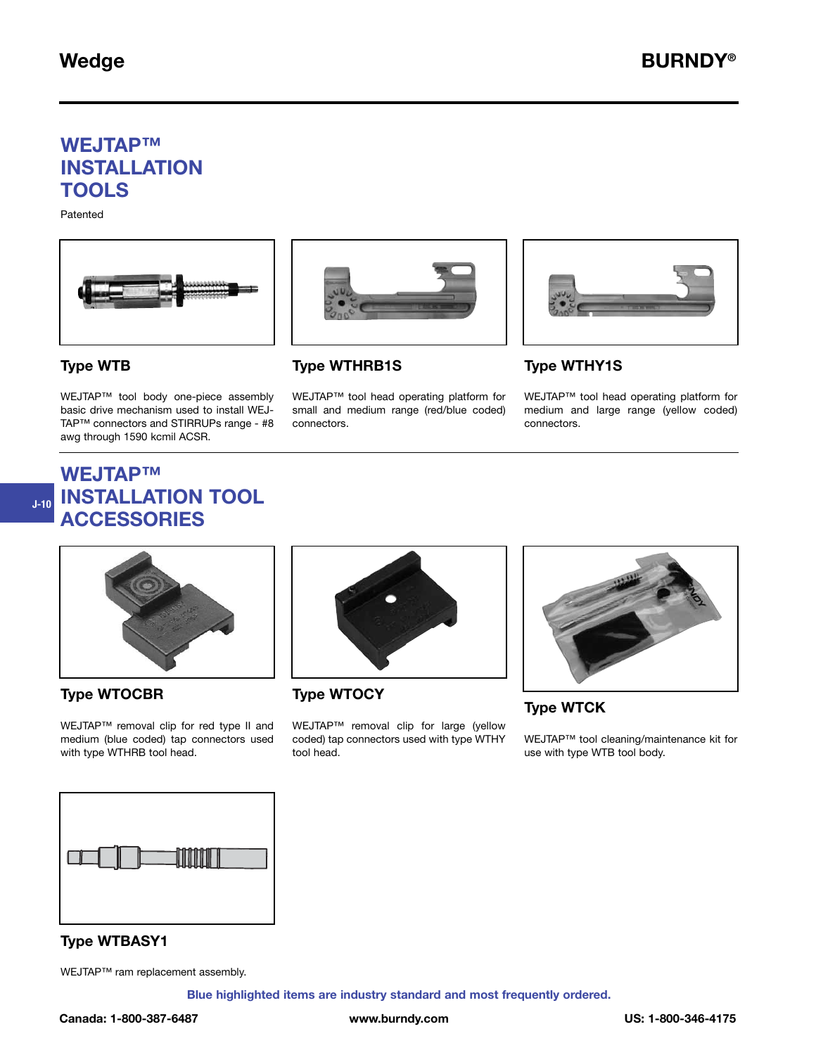## **WEJTAP™ INSTALLATION TOOLS**

Patented





### **Type WTHRB1S**

WEJTAP™ tool head operating platform for small and medium range (red/blue coded) connectors.



### **Type WTHY1S**

WEJTAP™ tool head operating platform for medium and large range (yellow coded) connectors.

#### **Type WTB**

**J-10**

WEJTAP™ tool body one-piece assembly basic drive mechanism used to install WEJ-TAP™ connectors and STIRRUPs range - #8 awg through 1590 kcmil ACSR.





#### **Type WTOCBR**

WEJTAP™ removal clip for red type II and medium (blue coded) tap connectors used with type WTHRB tool head.



**Type WTOCY**

WEJTAP™ removal clip for large (yellow coded) tap connectors used with type WTHY tool head.



**Type WTCK**

WEJTAP™ tool cleaning/maintenance kit for use with type WTB tool body.



#### **Type WTBASY1**

WEJTAP™ ram replacement assembly.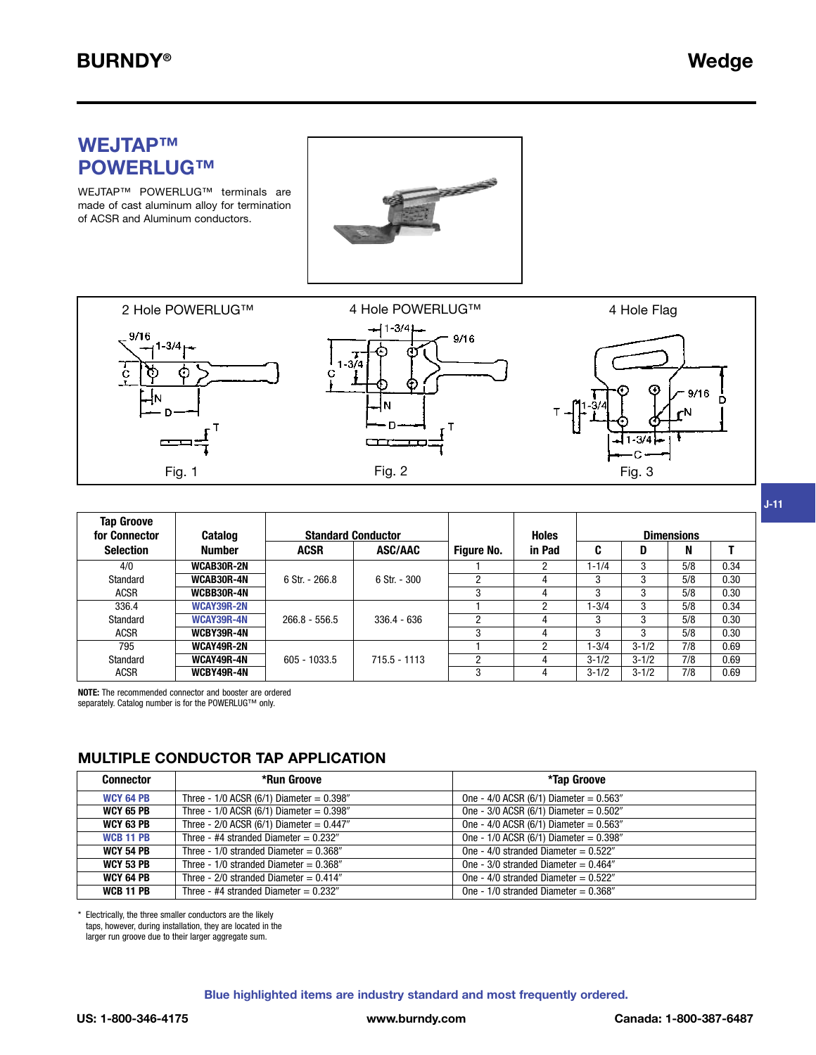**J-11**

### **WEJTAP™ POWERLUG™**

WEJTAP™ POWERLUG™ terminals are made of cast aluminum alloy for termination of ACSR and Aluminum conductors.





| <b>Tap Groove</b><br>for Connector | <b>Catalog</b> | <b>Standard Conductor</b> |                |                   | <b>Holes</b>   |           |           | <b>Dimensions</b> |      |
|------------------------------------|----------------|---------------------------|----------------|-------------------|----------------|-----------|-----------|-------------------|------|
| <b>Selection</b>                   | <b>Number</b>  | <b>ACSR</b>               | <b>ASC/AAC</b> | <b>Figure No.</b> | in Pad         | C         | D         | N                 |      |
| 4/0                                | WCAB30R-2N     |                           |                |                   | 2              | $1 - 1/4$ | 3         | 5/8               | 0.34 |
| Standard                           | WCAB30R-4N     | 6 Str. - 266.8            | $6$ Str. - 300 |                   | 4              | 3         | 3         | 5/8               | 0.30 |
| <b>ACSR</b>                        | WCBB30R-4N     |                           |                |                   |                | 3         | 3         | 5/8               | 0.30 |
| 336.4                              | WCAY39R-2N     |                           |                |                   | $\overline{2}$ | $1 - 3/4$ | 3         | 5/8               | 0.34 |
| Standard                           | WCAY39R-4N     | $266.8 - 556.5$           | $336.4 - 636$  |                   |                | 3         | 3         | 5/8               | 0.30 |
| <b>ACSR</b>                        | WCBY39R-4N     |                           |                | 3                 | 4              | 3         | 3         | 5/8               | 0.30 |
| 795                                | WCAY49R-2N     |                           |                |                   | 2              | $1 - 3/4$ | $3 - 1/2$ | 7/8               | 0.69 |
| Standard                           | WCAY49R-4N     | $605 - 1033.5$            | $715.5 - 1113$ |                   |                | $3 - 1/2$ | $3 - 1/2$ | 7/8               | 0.69 |
| <b>ACSR</b>                        | WCBY49R-4N     |                           |                | 3                 |                | $3 - 1/2$ | $3 - 1/2$ | 7/8               | 0.69 |

**NOTE:** The recommended connector and booster are ordered

separately. Catalog number is for the POWERLUG™ only.

### **MULTIPLE CONDUCTOR TAP APPLICATION**

| <b>Connector</b> | *Run Groove                                   | *Tap Groove                                 |
|------------------|-----------------------------------------------|---------------------------------------------|
| <b>WCY 64 PB</b> | Three - $1/0$ ACSR (6/1) Diameter = 0.398"    | One - $4/0$ ACSR (6/1) Diameter = $0.563''$ |
| <b>WCY 65 PB</b> | Three - $1/0$ ACSR (6/1) Diameter = $0.398$ " | One - $3/0$ ACSR (6/1) Diameter = $0.502$ " |
| <b>WCY 63 PB</b> | Three - $2/0$ ACSR (6/1) Diameter = $0.447$ " | One - $4/0$ ACSR (6/1) Diameter = $0.563''$ |
| <b>WCB 11 PB</b> | Three - #4 stranded Diameter = $0.232''$      | One - $1/0$ ACSR (6/1) Diameter = 0.398"    |
| <b>WCY 54 PB</b> | Three - $1/0$ stranded Diameter = $0.368''$   | One - $4/0$ stranded Diameter = $0.522''$   |
| <b>WCY 53 PB</b> | Three - $1/0$ stranded Diameter = $0.368''$   | One - $3/0$ stranded Diameter = $0.464$ "   |
| WCY 64 PB        | Three - $2/0$ stranded Diameter = $0.414$ "   | One - $4/0$ stranded Diameter = $0.522''$   |
| <b>WCB 11 PB</b> | Three - #4 stranded Diameter = $0.232$ "      | One - $1/0$ stranded Diameter = $0.368$ "   |

Electrically, the three smaller conductors are the likely taps, however, during installation, they are located in the larger run groove due to their larger aggregate sum.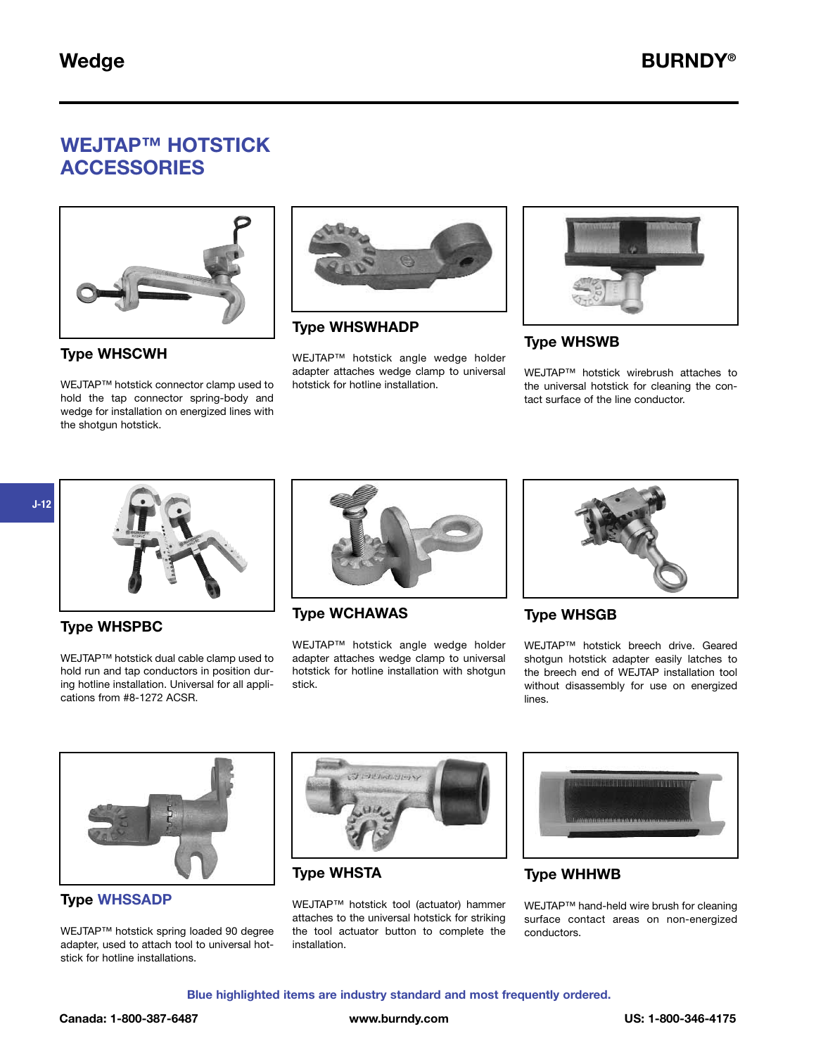# **WEJTAP™ HOTSTICK ACCESSORIES**



**Type WHSCWH**

WEJTAP™ hotstick connector clamp used to hold the tap connector spring-body and wedge for installation on energized lines with the shotgun hotstick.



**Type WHSWHADP**

WEJTAP™ hotstick angle wedge holder adapter attaches wedge clamp to universal hotstick for hotline installation.



### **Type WHSWB**

WEJTAP™ hotstick wirebrush attaches to the universal hotstick for cleaning the contact surface of the line conductor.



### **Type WHSPBC**

WEJTAP™ hotstick dual cable clamp used to hold run and tap conductors in position during hotline installation. Universal for all applications from #8-1272 ACSR.



**Type WCHAWAS**

WEJTAP™ hotstick angle wedge holder adapter attaches wedge clamp to universal hotstick for hotline installation with shotgun stick.



### **Type WHSGB**

WEJTAP™ hotstick breech drive. Geared shotgun hotstick adapter easily latches to the breech end of WEJTAP installation tool without disassembly for use on energized lines.



**Type WHSSADP**

WEJTAP™ hotstick spring loaded 90 degree adapter, used to attach tool to universal hotstick for hotline installations.



**Type WHSTA**

WEJTAP™ hotstick tool (actuator) hammer attaches to the universal hotstick for striking the tool actuator button to complete the installation.



### **Type WHHWB**

WEJTAP™ hand-held wire brush for cleaning surface contact areas on non-energized conductors.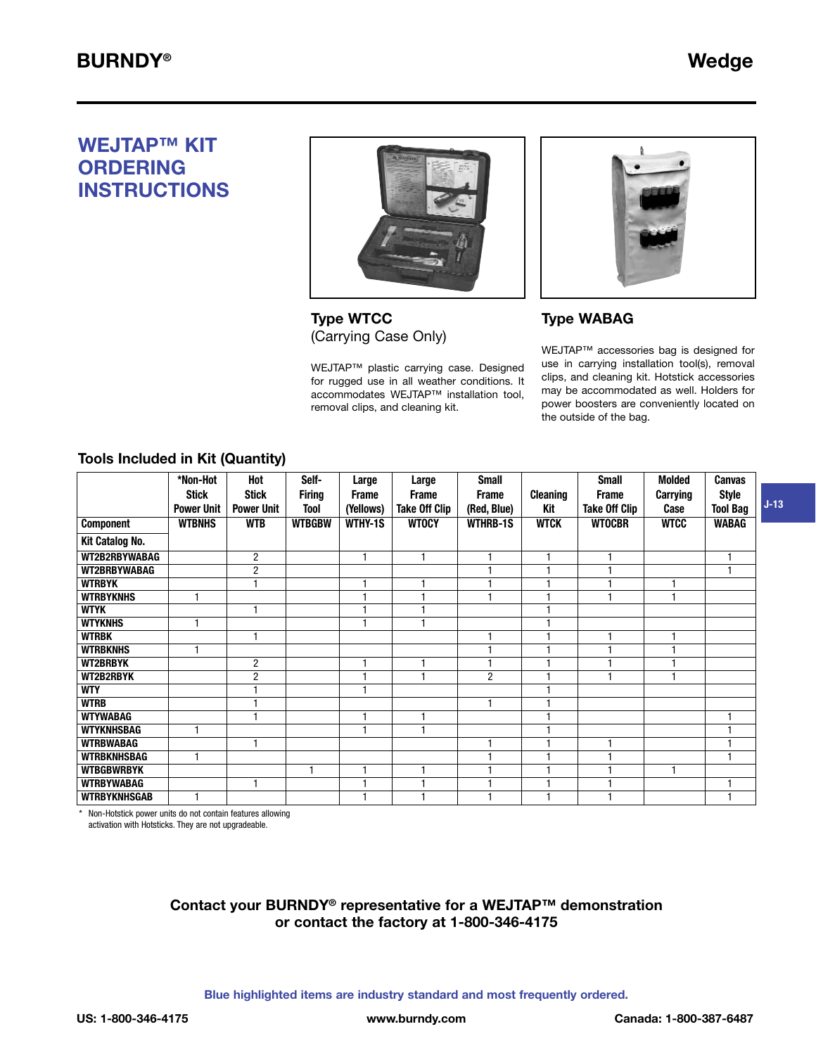**J-13**

# **WEJTAP™ KIT ORDERING INSTRUCTIONS**



**Type WTCC** (Carrying Case Only)

WEJTAP™ plastic carrying case. Designed for rugged use in all weather conditions. It accommodates WEJTAP™ installation tool, removal clips, and cleaning kit.



### **Type WABAG**

WEJTAP™ accessories bag is designed for use in carrying installation tool(s), removal clips, and cleaning kit. Hotstick accessories may be accommodated as well. Holders for power boosters are conveniently located on the outside of the bag.

### **Tools Included in Kit (Quantity)**

|                     | *Non-Hot<br><b>Stick</b><br><b>Power Unit</b> | Hot<br><b>Stick</b><br><b>Power Unit</b> | Self-<br><b>Firing</b><br><b>Tool</b> | Large<br><b>Frame</b><br>(Yellows) | Large<br><b>Frame</b><br><b>Take Off Clip</b> | <b>Small</b><br><b>Frame</b><br>(Red, Blue) | <b>Cleaning</b><br>Kit | <b>Small</b><br><b>Frame</b><br><b>Take Off Clip</b> | <b>Molded</b><br><b>Carrying</b><br>Case | <b>Canvas</b><br><b>Style</b><br><b>Tool Bag</b> |
|---------------------|-----------------------------------------------|------------------------------------------|---------------------------------------|------------------------------------|-----------------------------------------------|---------------------------------------------|------------------------|------------------------------------------------------|------------------------------------------|--------------------------------------------------|
| <b>Component</b>    | <b>WTBNHS</b>                                 | <b>WTB</b>                               | <b>WTBGBW</b>                         | WTHY-1S                            | <b>WTOCY</b>                                  | <b>WTHRB-1S</b>                             | <b>WTCK</b>            | <b>WTOCBR</b>                                        | <b>WTCC</b>                              | <b>WABAG</b>                                     |
| Kit Catalog No.     |                                               |                                          |                                       |                                    |                                               |                                             |                        |                                                      |                                          |                                                  |
| WT2B2RBYWABAG       |                                               | $\overline{2}$                           |                                       |                                    |                                               | 1                                           |                        |                                                      |                                          | 1                                                |
| WT2BRBYWABAG        |                                               | $\overline{2}$                           |                                       |                                    |                                               | $\overline{\phantom{a}}$                    |                        |                                                      |                                          | 1                                                |
| <b>WTRBYK</b>       |                                               |                                          |                                       |                                    |                                               |                                             |                        |                                                      |                                          |                                                  |
| <b>WTRBYKNHS</b>    |                                               |                                          |                                       |                                    |                                               | 1                                           |                        | ۴                                                    |                                          |                                                  |
| <b>WTYK</b>         |                                               |                                          |                                       |                                    |                                               |                                             |                        |                                                      |                                          |                                                  |
| <b>WTYKNHS</b>      |                                               |                                          |                                       |                                    |                                               |                                             |                        |                                                      |                                          |                                                  |
| <b>WTRBK</b>        |                                               |                                          |                                       |                                    |                                               | 1                                           |                        | ۴                                                    |                                          |                                                  |
| <b>WTRBKNHS</b>     |                                               |                                          |                                       |                                    |                                               |                                             |                        |                                                      |                                          |                                                  |
| <b>WT2BRBYK</b>     |                                               | $\overline{2}$                           |                                       |                                    |                                               | 1                                           |                        |                                                      |                                          |                                                  |
| WT2B2RBYK           |                                               | $\overline{2}$                           |                                       |                                    |                                               | $\overline{2}$                              |                        |                                                      |                                          |                                                  |
| <b>WTY</b>          |                                               |                                          |                                       |                                    |                                               |                                             |                        |                                                      |                                          |                                                  |
| <b>WTRB</b>         |                                               |                                          |                                       |                                    |                                               | 1                                           |                        |                                                      |                                          |                                                  |
| <b>WTYWABAG</b>     |                                               |                                          |                                       |                                    |                                               |                                             |                        |                                                      |                                          | ۴                                                |
| <b>WTYKNHSBAG</b>   |                                               |                                          |                                       | ٠                                  |                                               |                                             |                        |                                                      |                                          | 1                                                |
| <b>WTRBWABAG</b>    |                                               |                                          |                                       |                                    |                                               | 1                                           |                        |                                                      |                                          | 1                                                |
| <b>WTRBKNHSBAG</b>  |                                               |                                          |                                       |                                    |                                               | ٠                                           |                        |                                                      |                                          | 1                                                |
| <b>WTBGBWRBYK</b>   |                                               |                                          | H                                     | H                                  |                                               | 1                                           |                        |                                                      | ٠                                        |                                                  |
| <b>WTRBYWABAG</b>   |                                               |                                          |                                       |                                    |                                               |                                             |                        |                                                      |                                          | 1                                                |
| <b>WTRBYKNHSGAB</b> |                                               |                                          |                                       |                                    |                                               |                                             |                        |                                                      |                                          |                                                  |

\* Non-Hotstick power units do not contain features allowing activation with Hotsticks. They are not upgradeable.

#### Contact your BURNDY<sup>®</sup> representative for a WEJTAP™ demonstration **or contact the factory at 1-800-346-4175**